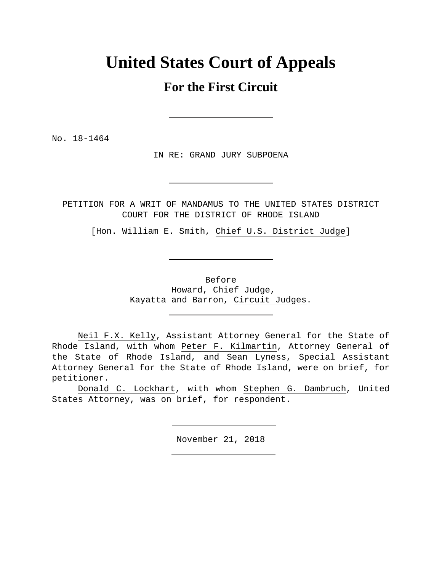# **United States Court of Appeals**

## **For the First Circuit**

No. 18-1464

IN RE: GRAND JURY SUBPOENA

PETITION FOR A WRIT OF MANDAMUS TO THE UNITED STATES DISTRICT COURT FOR THE DISTRICT OF RHODE ISLAND

[Hon. William E. Smith, Chief U.S. District Judge]

Before Howard, Chief Judge, Kayatta and Barron, Circuit Judges.

 Neil F.X. Kelly, Assistant Attorney General for the State of Rhode Island, with whom Peter F. Kilmartin, Attorney General of the State of Rhode Island, and Sean Lyness, Special Assistant Attorney General for the State of Rhode Island, were on brief, for petitioner.

 Donald C. Lockhart, with whom Stephen G. Dambruch, United States Attorney, was on brief, for respondent.

November 21, 2018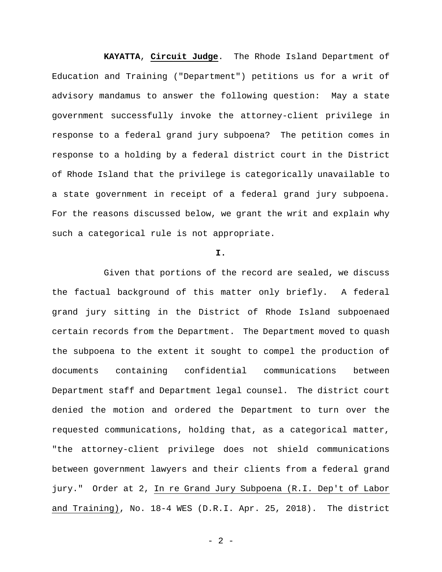**KAYATTA**, **Circuit Judge**. The Rhode Island Department of Education and Training ("Department") petitions us for a writ of advisory mandamus to answer the following question: May a state government successfully invoke the attorney-client privilege in response to a federal grand jury subpoena? The petition comes in response to a holding by a federal district court in the District of Rhode Island that the privilege is categorically unavailable to a state government in receipt of a federal grand jury subpoena. For the reasons discussed below, we grant the writ and explain why such a categorical rule is not appropriate.

#### **I.**

Given that portions of the record are sealed, we discuss the factual background of this matter only briefly. A federal grand jury sitting in the District of Rhode Island subpoenaed certain records from the Department. The Department moved to quash the subpoena to the extent it sought to compel the production of documents containing confidential communications between Department staff and Department legal counsel. The district court denied the motion and ordered the Department to turn over the requested communications, holding that, as a categorical matter, "the attorney-client privilege does not shield communications between government lawyers and their clients from a federal grand jury." Order at 2, In re Grand Jury Subpoena (R.I. Dep't of Labor and Training), No. 18-4 WES (D.R.I. Apr. 25, 2018). The district

- 2 -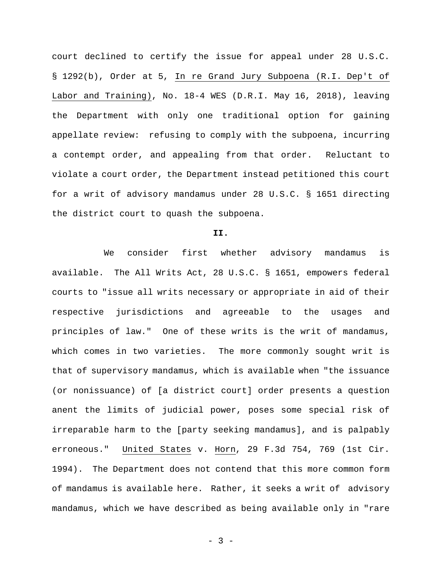court declined to certify the issue for appeal under 28 U.S.C. § 1292(b), Order at 5, In re Grand Jury Subpoena (R.I. Dep't of Labor and Training), No. 18-4 WES (D.R.I. May 16, 2018), leaving the Department with only one traditional option for gaining appellate review: refusing to comply with the subpoena, incurring a contempt order, and appealing from that order. Reluctant to violate a court order, the Department instead petitioned this court for a writ of advisory mandamus under 28 U.S.C. § 1651 directing the district court to quash the subpoena.

#### **II.**

We consider first whether advisory mandamus is available. The All Writs Act, 28 U.S.C. § 1651, empowers federal courts to "issue all writs necessary or appropriate in aid of their respective jurisdictions and agreeable to the usages and principles of law." One of these writs is the writ of mandamus, which comes in two varieties. The more commonly sought writ is that of supervisory mandamus, which is available when "the issuance (or nonissuance) of [a district court] order presents a question anent the limits of judicial power, poses some special risk of irreparable harm to the [party seeking mandamus], and is palpably erroneous." United States v. Horn, 29 F.3d 754, 769 (1st Cir. 1994). The Department does not contend that this more common form of mandamus is available here. Rather, it seeks a writ of advisory mandamus, which we have described as being available only in "rare

- 3 -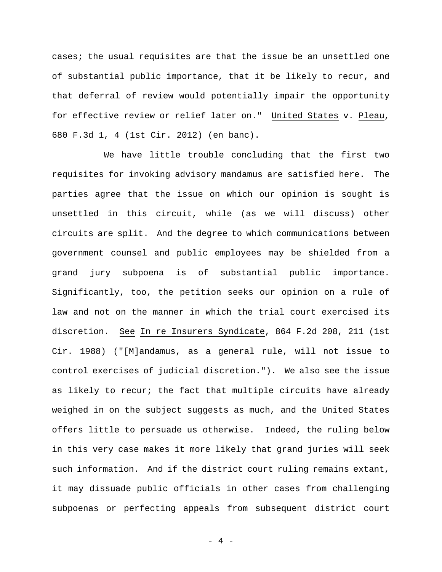cases; the usual requisites are that the issue be an unsettled one of substantial public importance, that it be likely to recur, and that deferral of review would potentially impair the opportunity for effective review or relief later on." United States v. Pleau, 680 F.3d 1, 4 (1st Cir. 2012) (en banc).

We have little trouble concluding that the first two requisites for invoking advisory mandamus are satisfied here. The parties agree that the issue on which our opinion is sought is unsettled in this circuit, while (as we will discuss) other circuits are split. And the degree to which communications between government counsel and public employees may be shielded from a grand jury subpoena is of substantial public importance. Significantly, too, the petition seeks our opinion on a rule of law and not on the manner in which the trial court exercised its discretion. See In re Insurers Syndicate, 864 F.2d 208, 211 (1st Cir. 1988) ("[M]andamus, as a general rule, will not issue to control exercises of judicial discretion."). We also see the issue as likely to recur; the fact that multiple circuits have already weighed in on the subject suggests as much, and the United States offers little to persuade us otherwise. Indeed, the ruling below in this very case makes it more likely that grand juries will seek such information. And if the district court ruling remains extant, it may dissuade public officials in other cases from challenging subpoenas or perfecting appeals from subsequent district court

- 4 -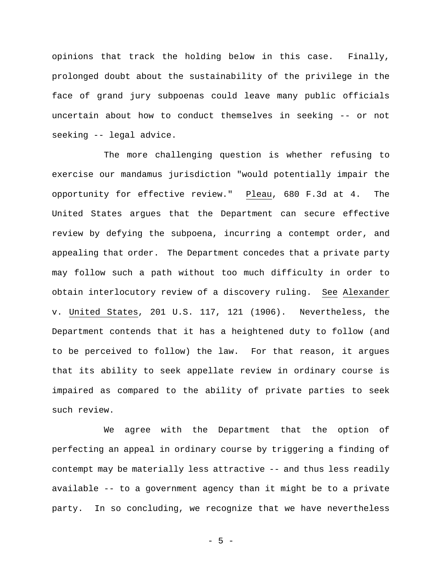opinions that track the holding below in this case. Finally, prolonged doubt about the sustainability of the privilege in the face of grand jury subpoenas could leave many public officials uncertain about how to conduct themselves in seeking -- or not seeking -- legal advice.

The more challenging question is whether refusing to exercise our mandamus jurisdiction "would potentially impair the opportunity for effective review." Pleau, 680 F.3d at 4. The United States argues that the Department can secure effective review by defying the subpoena, incurring a contempt order, and appealing that order. The Department concedes that a private party may follow such a path without too much difficulty in order to obtain interlocutory review of a discovery ruling. See Alexander v. United States, 201 U.S. 117, 121 (1906). Nevertheless, the Department contends that it has a heightened duty to follow (and to be perceived to follow) the law. For that reason, it argues that its ability to seek appellate review in ordinary course is impaired as compared to the ability of private parties to seek such review.

We agree with the Department that the option of perfecting an appeal in ordinary course by triggering a finding of contempt may be materially less attractive -- and thus less readily available -- to a government agency than it might be to a private party. In so concluding, we recognize that we have nevertheless

- 5 -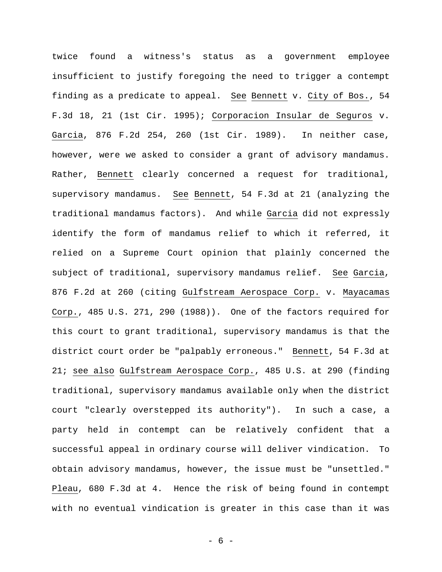twice found a witness's status as a government employee insufficient to justify foregoing the need to trigger a contempt finding as a predicate to appeal. See Bennett v. City of Bos., 54 F.3d 18, 21 (1st Cir. 1995); Corporacion Insular de Seguros v. Garcia, 876 F.2d 254, 260 (1st Cir. 1989). In neither case, however, were we asked to consider a grant of advisory mandamus. Rather, Bennett clearly concerned a request for traditional, supervisory mandamus. See Bennett, 54 F.3d at 21 (analyzing the traditional mandamus factors). And while Garcia did not expressly identify the form of mandamus relief to which it referred, it relied on a Supreme Court opinion that plainly concerned the subject of traditional, supervisory mandamus relief. See Garcia, 876 F.2d at 260 (citing Gulfstream Aerospace Corp. v. Mayacamas Corp., 485 U.S. 271, 290 (1988)). One of the factors required for this court to grant traditional, supervisory mandamus is that the district court order be "palpably erroneous." Bennett, 54 F.3d at 21; see also Gulfstream Aerospace Corp., 485 U.S. at 290 (finding traditional, supervisory mandamus available only when the district court "clearly overstepped its authority"). In such a case, a party held in contempt can be relatively confident that a successful appeal in ordinary course will deliver vindication. To obtain advisory mandamus, however, the issue must be "unsettled." Pleau, 680 F.3d at 4. Hence the risk of being found in contempt with no eventual vindication is greater in this case than it was

- 6 -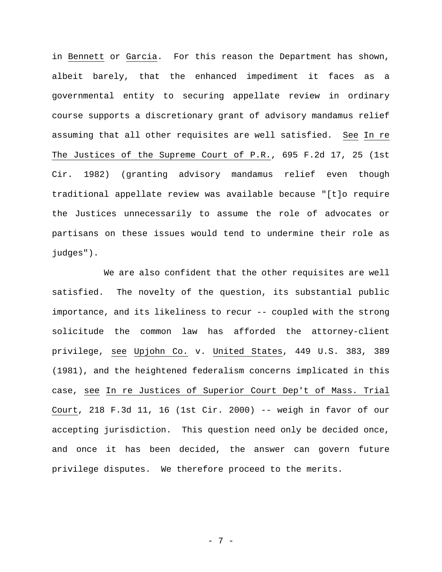in Bennett or Garcia. For this reason the Department has shown, albeit barely, that the enhanced impediment it faces as a governmental entity to securing appellate review in ordinary course supports a discretionary grant of advisory mandamus relief assuming that all other requisites are well satisfied. See In re The Justices of the Supreme Court of P.R., 695 F.2d 17, 25 (1st Cir. 1982) (granting advisory mandamus relief even though traditional appellate review was available because "[t]o require the Justices unnecessarily to assume the role of advocates or partisans on these issues would tend to undermine their role as judges").

We are also confident that the other requisites are well satisfied. The novelty of the question, its substantial public importance, and its likeliness to recur -- coupled with the strong solicitude the common law has afforded the attorney-client privilege, see Upjohn Co. v. United States, 449 U.S. 383, 389 (1981), and the heightened federalism concerns implicated in this case, see In re Justices of Superior Court Dep't of Mass. Trial Court, 218 F.3d 11, 16 (1st Cir. 2000) -- weigh in favor of our accepting jurisdiction. This question need only be decided once, and once it has been decided, the answer can govern future privilege disputes. We therefore proceed to the merits.

- 7 -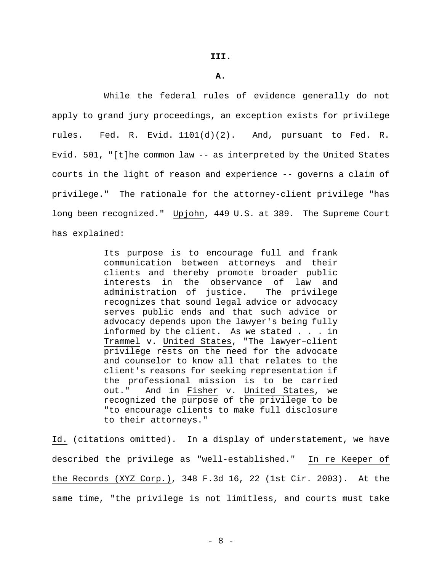**A.** 

While the federal rules of evidence generally do not apply to grand jury proceedings, an exception exists for privilege rules. Fed. R. Evid. 1101(d)(2). And, pursuant to Fed. R. Evid. 501, "[t]he common law -- as interpreted by the United States courts in the light of reason and experience -- governs a claim of privilege." The rationale for the attorney-client privilege "has long been recognized." Upjohn, 449 U.S. at 389. The Supreme Court has explained:

> Its purpose is to encourage full and frank communication between attorneys and their clients and thereby promote broader public interests in the observance of law and administration of justice. The privilege recognizes that sound legal advice or advocacy serves public ends and that such advice or advocacy depends upon the lawyer's being fully informed by the client. As we stated . . . in Trammel v. United States, "The lawyer–client privilege rests on the need for the advocate and counselor to know all that relates to the client's reasons for seeking representation if the professional mission is to be carried out." And in Fisher v. United States, we recognized the purpose of the privilege to be "to encourage clients to make full disclosure to their attorneys."

Id. (citations omitted). In a display of understatement, we have described the privilege as "well-established." In re Keeper of the Records (XYZ Corp.), 348 F.3d 16, 22 (1st Cir. 2003). At the same time, "the privilege is not limitless, and courts must take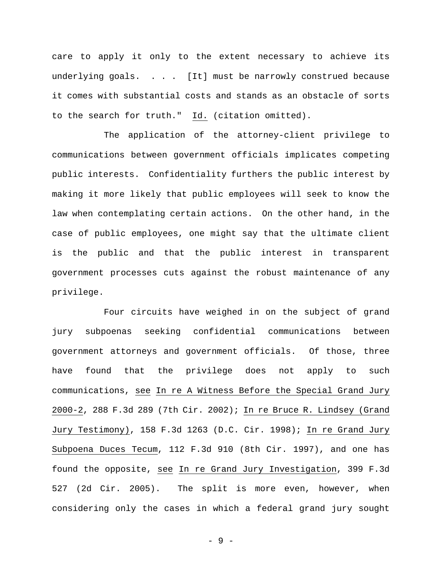care to apply it only to the extent necessary to achieve its underlying goals. . . . [It] must be narrowly construed because it comes with substantial costs and stands as an obstacle of sorts to the search for truth." Id. (citation omitted).

The application of the attorney-client privilege to communications between government officials implicates competing public interests. Confidentiality furthers the public interest by making it more likely that public employees will seek to know the law when contemplating certain actions. On the other hand, in the case of public employees, one might say that the ultimate client is the public and that the public interest in transparent government processes cuts against the robust maintenance of any privilege.

Four circuits have weighed in on the subject of grand jury subpoenas seeking confidential communications between government attorneys and government officials. Of those, three have found that the privilege does not apply to such communications, see In re A Witness Before the Special Grand Jury 2000-2, 288 F.3d 289 (7th Cir. 2002); In re Bruce R. Lindsey (Grand Jury Testimony), 158 F.3d 1263 (D.C. Cir. 1998); In re Grand Jury Subpoena Duces Tecum, 112 F.3d 910 (8th Cir. 1997), and one has found the opposite, see In re Grand Jury Investigation, 399 F.3d 527 (2d Cir. 2005). The split is more even, however, when considering only the cases in which a federal grand jury sought

- 9 -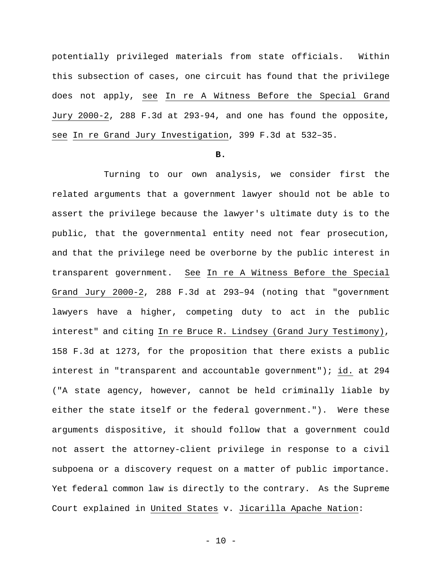potentially privileged materials from state officials. Within this subsection of cases, one circuit has found that the privilege does not apply, see In re A Witness Before the Special Grand Jury 2000-2, 288 F.3d at 293-94, and one has found the opposite, see In re Grand Jury Investigation, 399 F.3d at 532–35.

#### **B.**

Turning to our own analysis, we consider first the related arguments that a government lawyer should not be able to assert the privilege because the lawyer's ultimate duty is to the public, that the governmental entity need not fear prosecution, and that the privilege need be overborne by the public interest in transparent government. See In re A Witness Before the Special Grand Jury 2000-2, 288 F.3d at 293–94 (noting that "government lawyers have a higher, competing duty to act in the public interest" and citing In re Bruce R. Lindsey (Grand Jury Testimony), 158 F.3d at 1273, for the proposition that there exists a public interest in "transparent and accountable government"); id. at 294 ("A state agency, however, cannot be held criminally liable by either the state itself or the federal government."). Were these arguments dispositive, it should follow that a government could not assert the attorney-client privilege in response to a civil subpoena or a discovery request on a matter of public importance. Yet federal common law is directly to the contrary. As the Supreme Court explained in United States v. Jicarilla Apache Nation: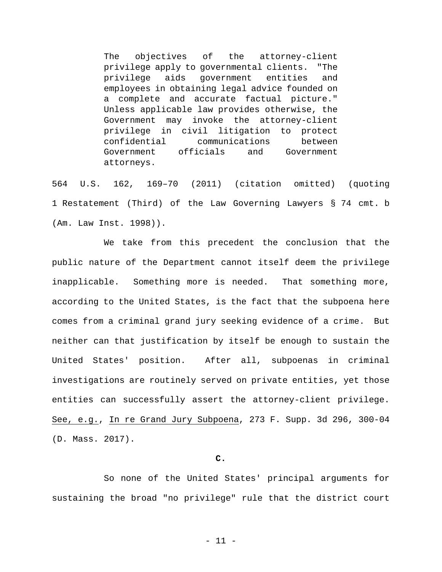The objectives of the attorney-client privilege apply to governmental clients. "The privilege aids government entities and employees in obtaining legal advice founded on a complete and accurate factual picture." Unless applicable law provides otherwise, the Government may invoke the attorney-client privilege in civil litigation to protect confidential communications between Government officials and Government attorneys.

564 U.S. 162, 169–70 (2011) (citation omitted) (quoting 1 Restatement (Third) of the Law Governing Lawyers § 74 cmt. b (Am. Law Inst. 1998)).

We take from this precedent the conclusion that the public nature of the Department cannot itself deem the privilege inapplicable. Something more is needed. That something more, according to the United States, is the fact that the subpoena here comes from a criminal grand jury seeking evidence of a crime. But neither can that justification by itself be enough to sustain the United States' position. After all, subpoenas in criminal investigations are routinely served on private entities, yet those entities can successfully assert the attorney-client privilege. See, e.g., In re Grand Jury Subpoena, 273 F. Supp. 3d 296, 300-04 (D. Mass. 2017).

#### **C.**

So none of the United States' principal arguments for sustaining the broad "no privilege" rule that the district court

- 11 -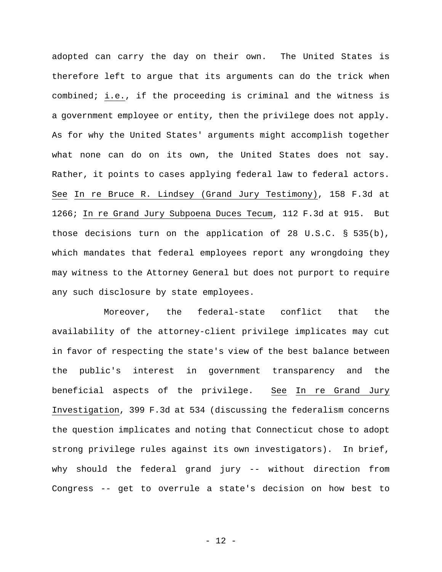adopted can carry the day on their own. The United States is therefore left to argue that its arguments can do the trick when combined; i.e., if the proceeding is criminal and the witness is a government employee or entity, then the privilege does not apply. As for why the United States' arguments might accomplish together what none can do on its own, the United States does not say. Rather, it points to cases applying federal law to federal actors. See In re Bruce R. Lindsey (Grand Jury Testimony), 158 F.3d at 1266; In re Grand Jury Subpoena Duces Tecum, 112 F.3d at 915. But those decisions turn on the application of 28 U.S.C. § 535(b), which mandates that federal employees report any wrongdoing they may witness to the Attorney General but does not purport to require any such disclosure by state employees.

Moreover, the federal-state conflict that the availability of the attorney-client privilege implicates may cut in favor of respecting the state's view of the best balance between the public's interest in government transparency and the beneficial aspects of the privilege. See In re Grand Jury Investigation, 399 F.3d at 534 (discussing the federalism concerns the question implicates and noting that Connecticut chose to adopt strong privilege rules against its own investigators). In brief, why should the federal grand jury -- without direction from Congress -- get to overrule a state's decision on how best to

- 12 -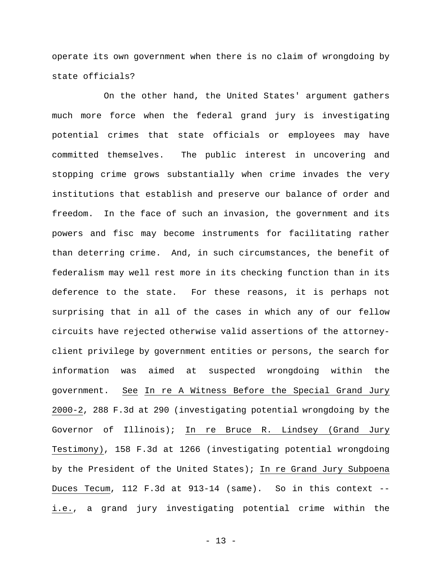operate its own government when there is no claim of wrongdoing by state officials?

On the other hand, the United States' argument gathers much more force when the federal grand jury is investigating potential crimes that state officials or employees may have committed themselves. The public interest in uncovering and stopping crime grows substantially when crime invades the very institutions that establish and preserve our balance of order and freedom. In the face of such an invasion, the government and its powers and fisc may become instruments for facilitating rather than deterring crime. And, in such circumstances, the benefit of federalism may well rest more in its checking function than in its deference to the state. For these reasons, it is perhaps not surprising that in all of the cases in which any of our fellow circuits have rejected otherwise valid assertions of the attorneyclient privilege by government entities or persons, the search for information was aimed at suspected wrongdoing within the government. See In re A Witness Before the Special Grand Jury 2000-2, 288 F.3d at 290 (investigating potential wrongdoing by the Governor of Illinois); In re Bruce R. Lindsey (Grand Jury Testimony), 158 F.3d at 1266 (investigating potential wrongdoing by the President of the United States); In re Grand Jury Subpoena Duces Tecum, 112 F.3d at 913-14 (same). So in this context - i.e., a grand jury investigating potential crime within the